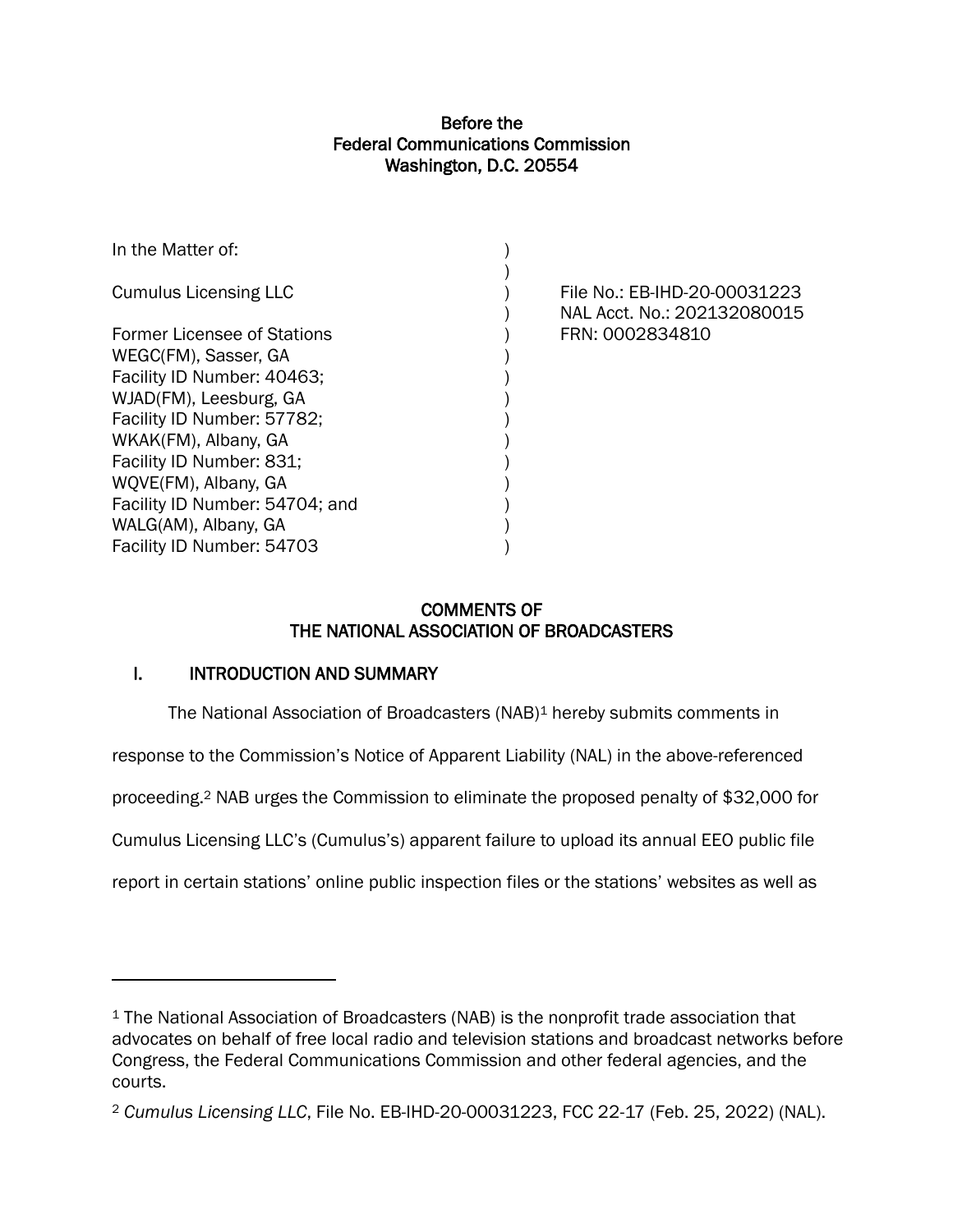## Before the Federal Communications Commission Washington, D.C. 20554

| File No.: EB-IHD-20-00031223<br>NAL Acct. No.: 202132080015 |
|-------------------------------------------------------------|
| FRN: 0002834810                                             |
|                                                             |
|                                                             |
|                                                             |
|                                                             |
|                                                             |
|                                                             |
|                                                             |
|                                                             |
|                                                             |
|                                                             |
|                                                             |

# COMMENTS OF THE NATIONAL ASSOCIATION OF BROADCASTERS

# I. INTRODUCTION AND SUMMARY

The National Association of Broadcasters (NAB)<sup>1</sup> hereby submits comments in

response to the Commission's Notice of Apparent Liability (NAL) in the above-referenced

proceeding.<sup>2</sup> NAB urges the Commission to eliminate the proposed penalty of \$32,000 for

Cumulus Licensing LLC's (Cumulus's) apparent failure to upload its annual EEO public file

report in certain stations' online public inspection files or the stations' websites as well as

<sup>&</sup>lt;sup>1</sup> The National Association of Broadcasters (NAB) is the nonprofit trade association that advocates on behalf of free local radio and television stations and broadcast networks before Congress, the Federal Communications Commission and other federal agencies, and the courts.

<sup>2</sup> *Cumulus Licensing LLC*, File No. EB-IHD-20-00031223, FCC 22-17 (Feb. 25, 2022) (NAL).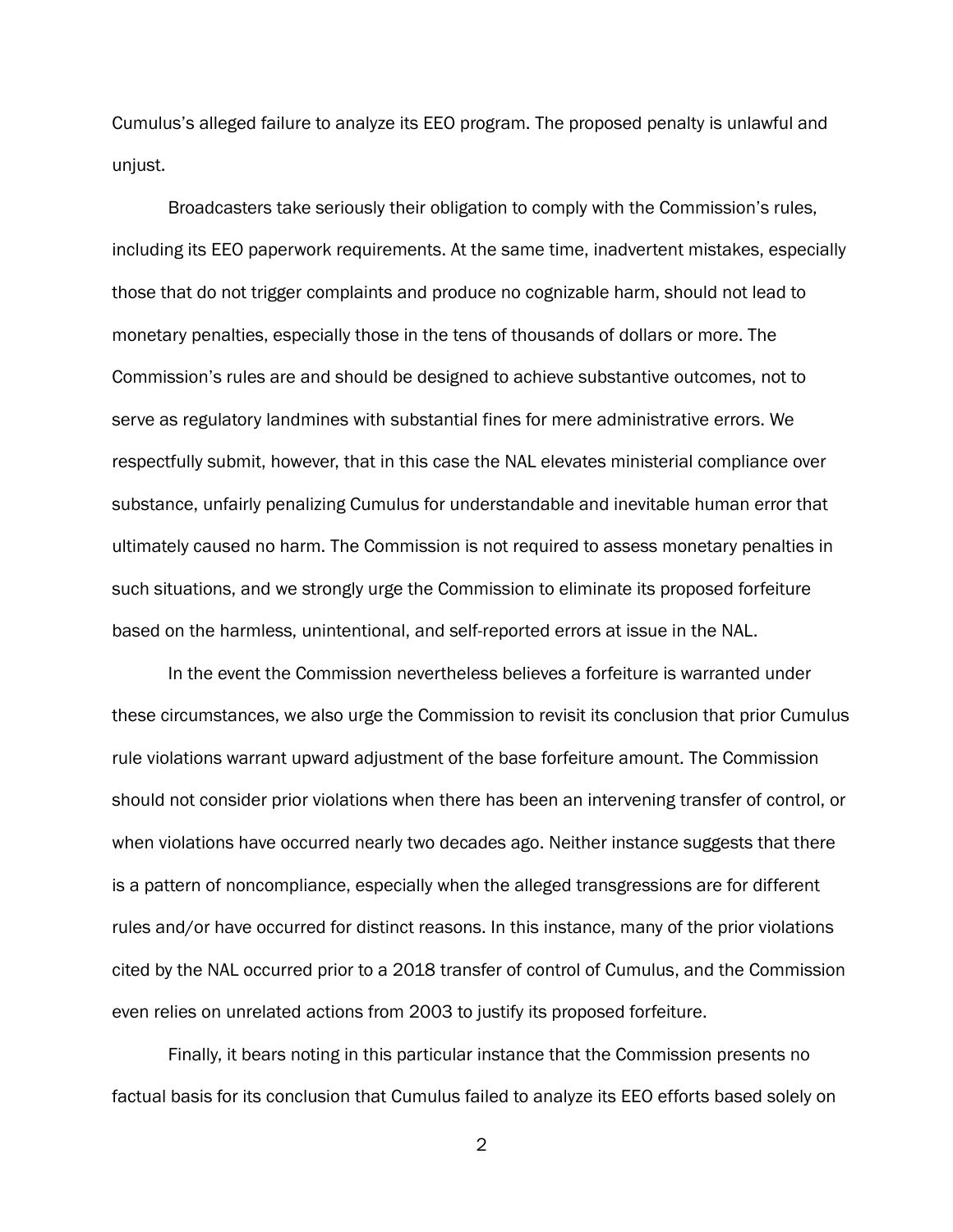Cumulus's alleged failure to analyze its EEO program. The proposed penalty is unlawful and unjust.

Broadcasters take seriously their obligation to comply with the Commission's rules, including its EEO paperwork requirements. At the same time, inadvertent mistakes, especially those that do not trigger complaints and produce no cognizable harm, should not lead to monetary penalties, especially those in the tens of thousands of dollars or more. The Commission's rules are and should be designed to achieve substantive outcomes, not to serve as regulatory landmines with substantial fines for mere administrative errors. We respectfully submit, however, that in this case the NAL elevates ministerial compliance over substance, unfairly penalizing Cumulus for understandable and inevitable human error that ultimately caused no harm. The Commission is not required to assess monetary penalties in such situations, and we strongly urge the Commission to eliminate its proposed forfeiture based on the harmless, unintentional, and self-reported errors at issue in the NAL.

In the event the Commission nevertheless believes a forfeiture is warranted under these circumstances, we also urge the Commission to revisit its conclusion that prior Cumulus rule violations warrant upward adjustment of the base forfeiture amount. The Commission should not consider prior violations when there has been an intervening transfer of control, or when violations have occurred nearly two decades ago. Neither instance suggests that there is a pattern of noncompliance, especially when the alleged transgressions are for different rules and/or have occurred for distinct reasons. In this instance, many of the prior violations cited by the NAL occurred prior to a 2018 transfer of control of Cumulus, and the Commission even relies on unrelated actions from 2003 to justify its proposed forfeiture.

Finally, it bears noting in this particular instance that the Commission presents no factual basis for its conclusion that Cumulus failed to analyze its EEO efforts based solely on

2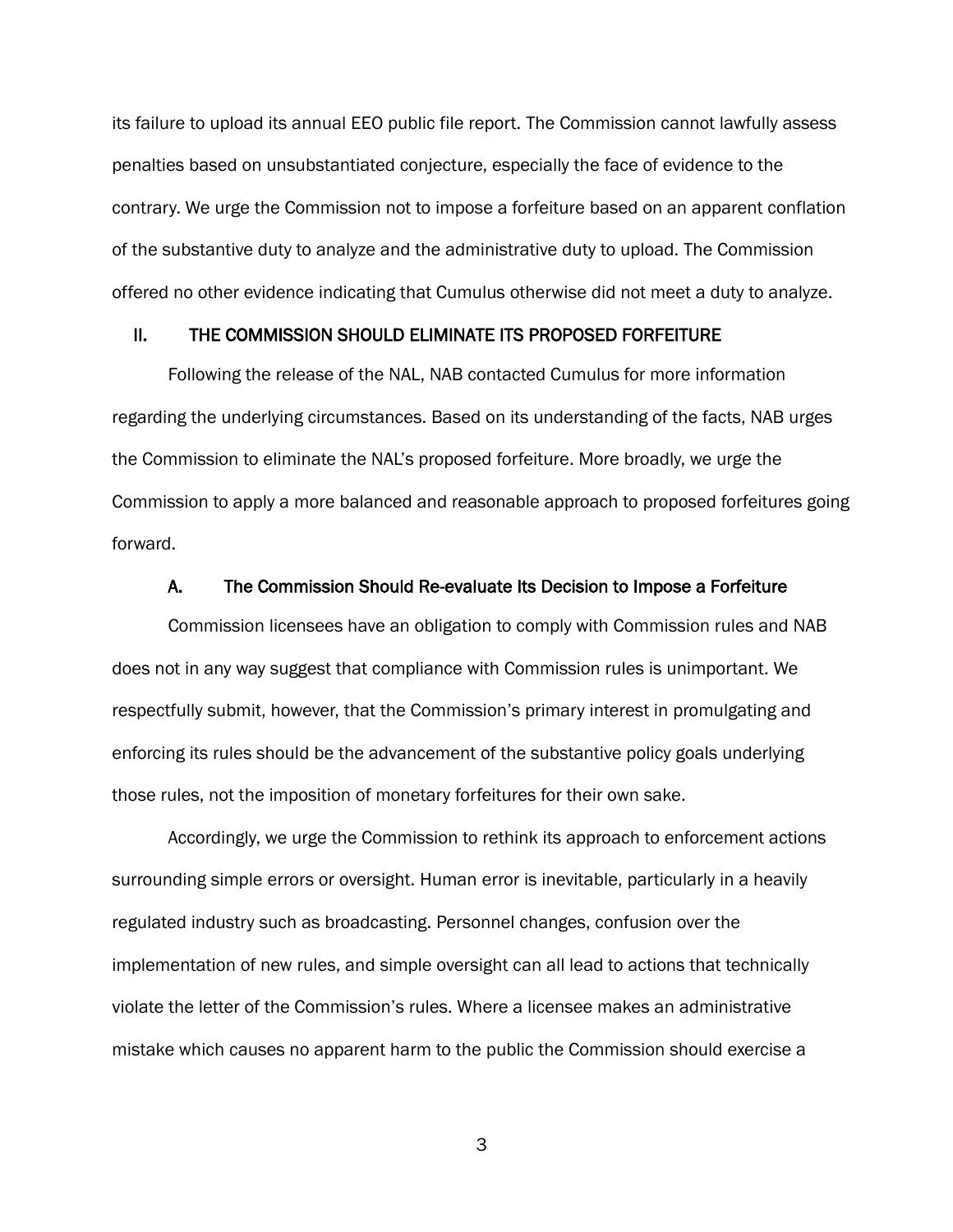its failure to upload its annual EEO public file report. The Commission cannot lawfully assess penalties based on unsubstantiated conjecture, especially the face of evidence to the contrary. We urge the Commission not to impose a forfeiture based on an apparent conflation of the substantive duty to analyze and the administrative duty to upload. The Commission offered no other evidence indicating that Cumulus otherwise did not meet a duty to analyze.

## II. THE COMMISSION SHOULD ELIMINATE ITS PROPOSED FORFEITURE

Following the release of the NAL, NAB contacted Cumulus for more information regarding the underlying circumstances. Based on its understanding of the facts, NAB urges the Commission to eliminate the NAL's proposed forfeiture. More broadly, we urge the Commission to apply a more balanced and reasonable approach to proposed forfeitures going forward.

#### A. The Commission Should Re-evaluate Its Decision to Impose a Forfeiture

Commission licensees have an obligation to comply with Commission rules and NAB does not in any way suggest that compliance with Commission rules is unimportant. We respectfully submit, however, that the Commission's primary interest in promulgating and enforcing its rules should be the advancement of the substantive policy goals underlying those rules, not the imposition of monetary forfeitures for their own sake.

Accordingly, we urge the Commission to rethink its approach to enforcement actions surrounding simple errors or oversight. Human error is inevitable, particularly in a heavily regulated industry such as broadcasting. Personnel changes, confusion over the implementation of new rules, and simple oversight can all lead to actions that technically violate the letter of the Commission's rules. Where a licensee makes an administrative mistake which causes no apparent harm to the public the Commission should exercise a

3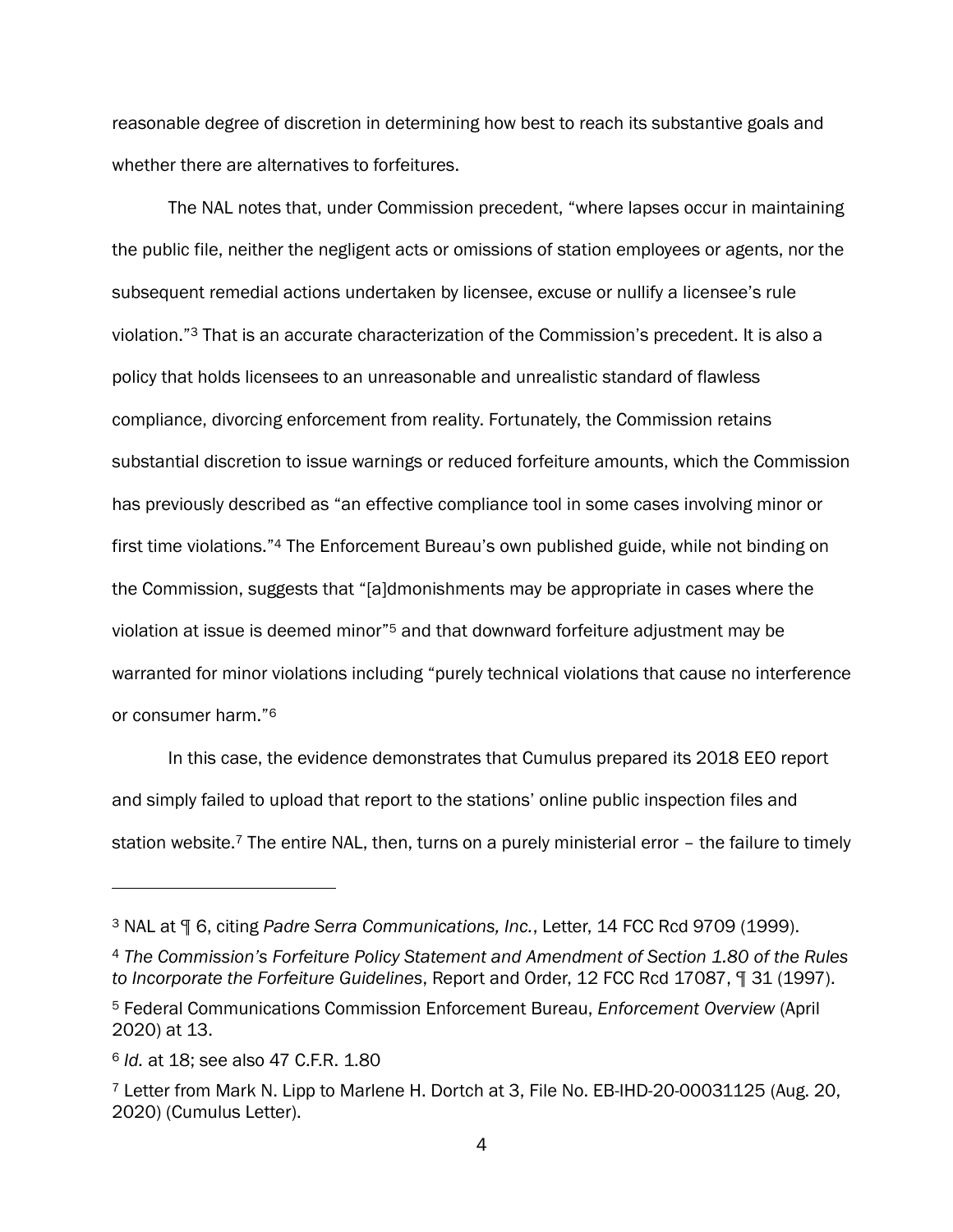reasonable degree of discretion in determining how best to reach its substantive goals and whether there are alternatives to forfeitures.

The NAL notes that, under Commission precedent, "where lapses occur in maintaining the public file, neither the negligent acts or omissions of station employees or agents, nor the subsequent remedial actions undertaken by licensee, excuse or nullify a licensee's rule violation."<sup>3</sup> That is an accurate characterization of the Commission's precedent. It is also a policy that holds licensees to an unreasonable and unrealistic standard of flawless compliance, divorcing enforcement from reality. Fortunately, the Commission retains substantial discretion to issue warnings or reduced forfeiture amounts, which the Commission has previously described as "an effective compliance tool in some cases involving minor or first time violations."<sup>4</sup> The Enforcement Bureau's own published guide, while not binding on the Commission, suggests that "[a]dmonishments may be appropriate in cases where the violation at issue is deemed minor"<sup>5</sup> and that downward forfeiture adjustment may be warranted for minor violations including "purely technical violations that cause no interference or consumer harm."<sup>6</sup>

In this case, the evidence demonstrates that Cumulus prepared its 2018 EEO report and simply failed to upload that report to the stations' online public inspection files and station website.<sup>7</sup> The entire NAL, then, turns on a purely ministerial error – the failure to timely

<sup>3</sup> NAL at ¶ 6, citing *Padre Serra Communications, Inc.*, Letter, 14 FCC Rcd 9709 (1999).

<sup>4</sup> *The Commission's Forfeiture Policy Statement and Amendment of Section 1.80 of the Rules to Incorporate the Forfeiture Guidelines*, Report and Order, 12 FCC Rcd 17087, ¶ 31 (1997).

<sup>5</sup> Federal Communications Commission Enforcement Bureau, *Enforcement Overview* (April 2020) at 13.

<sup>6</sup> *Id.* at 18; see also 47 C.F.R. 1.80

<sup>7</sup> Letter from Mark N. Lipp to Marlene H. Dortch at 3, File No. EB-IHD-20-00031125 (Aug. 20, 2020) (Cumulus Letter).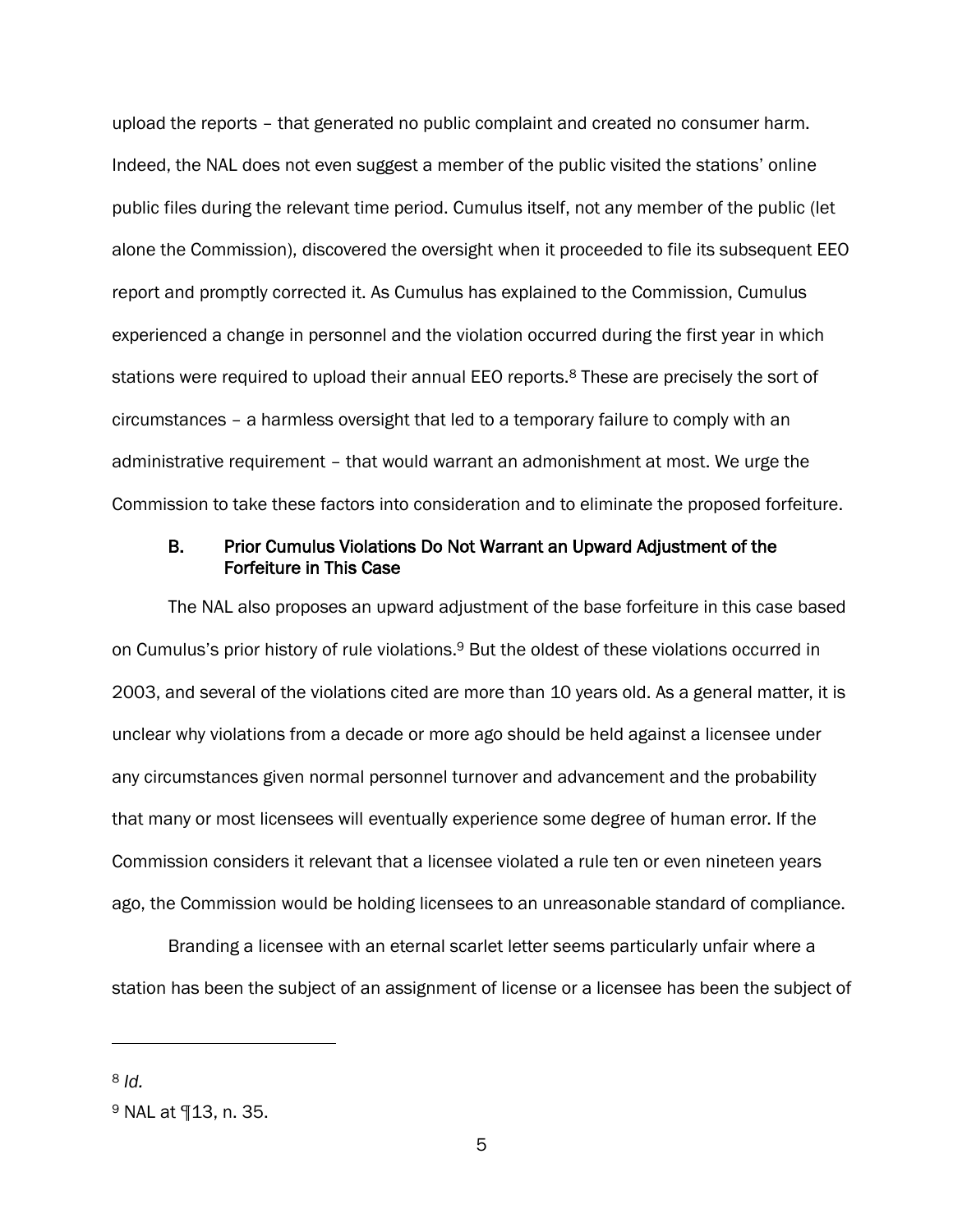upload the reports – that generated no public complaint and created no consumer harm. Indeed, the NAL does not even suggest a member of the public visited the stations' online public files during the relevant time period. Cumulus itself, not any member of the public (let alone the Commission), discovered the oversight when it proceeded to file its subsequent EEO report and promptly corrected it. As Cumulus has explained to the Commission, Cumulus experienced a change in personnel and the violation occurred during the first year in which stations were required to upload their annual EEO reports.<sup>8</sup> These are precisely the sort of circumstances – a harmless oversight that led to a temporary failure to comply with an administrative requirement – that would warrant an admonishment at most. We urge the Commission to take these factors into consideration and to eliminate the proposed forfeiture.

### B. Prior Cumulus Violations Do Not Warrant an Upward Adjustment of the Forfeiture in This Case

The NAL also proposes an upward adjustment of the base forfeiture in this case based on Cumulus's prior history of rule violations.<sup>9</sup> But the oldest of these violations occurred in 2003, and several of the violations cited are more than 10 years old. As a general matter, it is unclear why violations from a decade or more ago should be held against a licensee under any circumstances given normal personnel turnover and advancement and the probability that many or most licensees will eventually experience some degree of human error. If the Commission considers it relevant that a licensee violated a rule ten or even nineteen years ago, the Commission would be holding licensees to an unreasonable standard of compliance.

Branding a licensee with an eternal scarlet letter seems particularly unfair where a station has been the subject of an assignment of license or a licensee has been the subject of

<sup>8</sup> *Id.*

<sup>9</sup> NAL at ¶13, n. 35.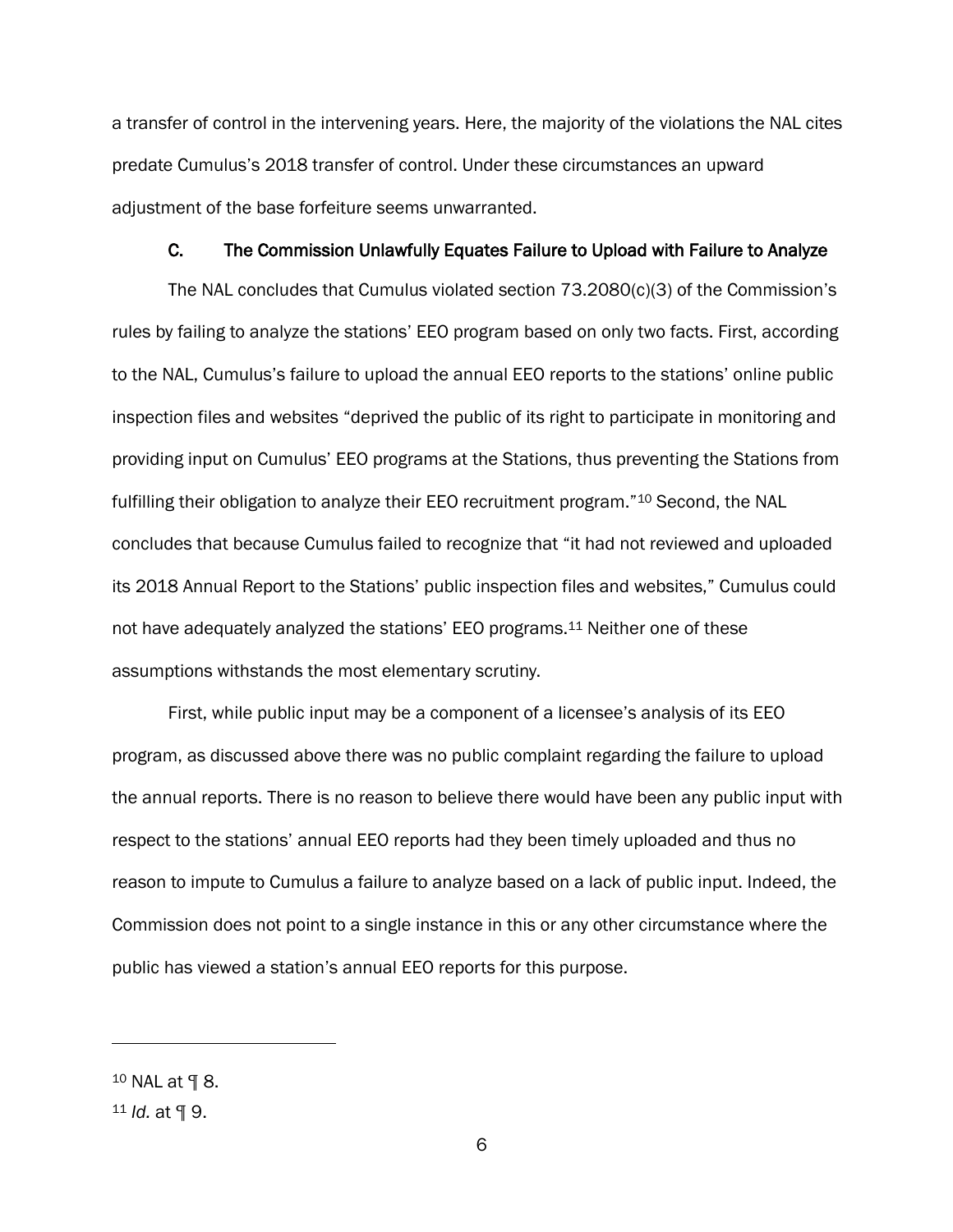a transfer of control in the intervening years. Here, the majority of the violations the NAL cites predate Cumulus's 2018 transfer of control. Under these circumstances an upward adjustment of the base forfeiture seems unwarranted.

### C. The Commission Unlawfully Equates Failure to Upload with Failure to Analyze

The NAL concludes that Cumulus violated section 73.2080(c)(3) of the Commission's rules by failing to analyze the stations' EEO program based on only two facts. First, according to the NAL, Cumulus's failure to upload the annual EEO reports to the stations' online public inspection files and websites "deprived the public of its right to participate in monitoring and providing input on Cumulus' EEO programs at the Stations, thus preventing the Stations from fulfilling their obligation to analyze their EEO recruitment program."<sup>10</sup> Second, the NAL concludes that because Cumulus failed to recognize that "it had not reviewed and uploaded its 2018 Annual Report to the Stations' public inspection files and websites," Cumulus could not have adequately analyzed the stations' EEO programs.<sup>11</sup> Neither one of these assumptions withstands the most elementary scrutiny.

First, while public input may be a component of a licensee's analysis of its EEO program, as discussed above there was no public complaint regarding the failure to upload the annual reports. There is no reason to believe there would have been any public input with respect to the stations' annual EEO reports had they been timely uploaded and thus no reason to impute to Cumulus a failure to analyze based on a lack of public input. Indeed, the Commission does not point to a single instance in this or any other circumstance where the public has viewed a station's annual EEO reports for this purpose.

<sup>10</sup> NAL at ¶ 8.

<sup>11</sup> *Id.* at ¶ 9.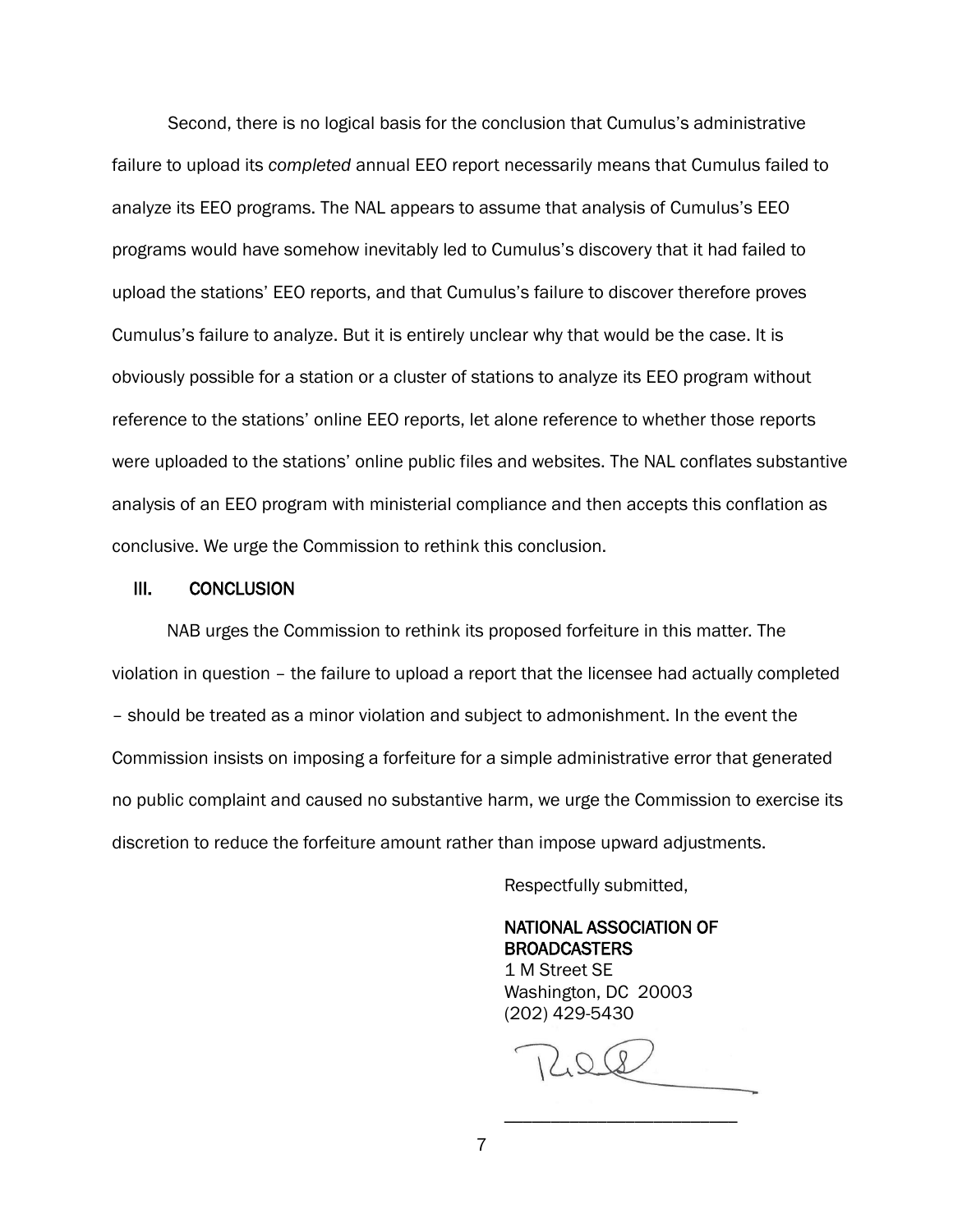Second, there is no logical basis for the conclusion that Cumulus's administrative failure to upload its *completed* annual EEO report necessarily means that Cumulus failed to analyze its EEO programs. The NAL appears to assume that analysis of Cumulus's EEO programs would have somehow inevitably led to Cumulus's discovery that it had failed to upload the stations' EEO reports, and that Cumulus's failure to discover therefore proves Cumulus's failure to analyze. But it is entirely unclear why that would be the case. It is obviously possible for a station or a cluster of stations to analyze its EEO program without reference to the stations' online EEO reports, let alone reference to whether those reports were uploaded to the stations' online public files and websites. The NAL conflates substantive analysis of an EEO program with ministerial compliance and then accepts this conflation as conclusive. We urge the Commission to rethink this conclusion.

#### III. CONCLUSION

NAB urges the Commission to rethink its proposed forfeiture in this matter. The violation in question – the failure to upload a report that the licensee had actually completed – should be treated as a minor violation and subject to admonishment. In the event the Commission insists on imposing a forfeiture for a simple administrative error that generated no public complaint and caused no substantive harm, we urge the Commission to exercise its discretion to reduce the forfeiture amount rather than impose upward adjustments.

Respectfully submitted,

 NATIONAL ASSOCIATION OF BROADCASTERS 1 M Street SE Washington, DC 20003 (202) 429-5430

\_\_\_\_\_\_\_\_\_\_\_\_\_\_\_\_\_\_\_\_\_\_\_\_\_